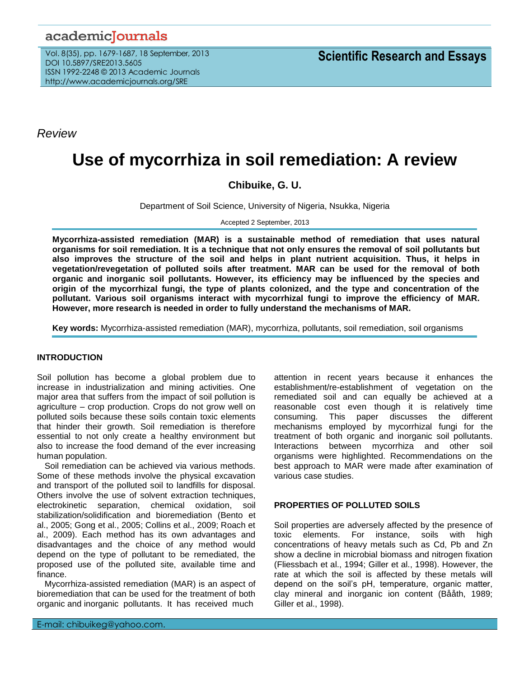# academicJournals

Vol. 8(35), pp. 1679-1687, 18 September, 2013 DOI 10.5897/SRE2013.5605 ISSN 1992-2248 © 2013 Academic Journals http://www.academicjournals.org/SRE

*Review*

# **Use of mycorrhiza in soil remediation: A review**

**Chibuike, G. U.**

Department of Soil Science, University of Nigeria, Nsukka, Nigeria

Accepted 2 September, 2013

**Mycorrhiza-assisted remediation (MAR) is a sustainable method of remediation that uses natural organisms for soil remediation. It is a technique that not only ensures the removal of soil pollutants but also improves the structure of the soil and helps in plant nutrient acquisition. Thus, it helps in vegetation/revegetation of polluted soils after treatment. MAR can be used for the removal of both organic and inorganic soil pollutants. However, its efficiency may be influenced by the species and origin of the mycorrhizal fungi, the type of plants colonized, and the type and concentration of the pollutant. Various soil organisms interact with mycorrhizal fungi to improve the efficiency of MAR. However, more research is needed in order to fully understand the mechanisms of MAR.**

**Key words:** Mycorrhiza-assisted remediation (MAR), mycorrhiza, pollutants, soil remediation, soil organisms

# **INTRODUCTION**

Soil pollution has become a global problem due to increase in industrialization and mining activities. One major area that suffers from the impact of soil pollution is agriculture – crop production. Crops do not grow well on polluted soils because these soils contain toxic elements that hinder their growth. Soil remediation is therefore essential to not only create a healthy environment but also to increase the food demand of the ever increasing human population.

Soil remediation can be achieved via various methods. Some of these methods involve the physical excavation and transport of the polluted soil to landfills for disposal. Others involve the use of solvent extraction techniques, electrokinetic separation, chemical oxidation, soil stabilization/solidification and bioremediation (Bento et al., 2005; Gong et al., 2005; Collins et al., 2009; Roach et al., 2009). Each method has its own advantages and disadvantages and the choice of any method would depend on the type of pollutant to be remediated, the proposed use of the polluted site, available time and finance.

Mycorrhiza-assisted remediation (MAR) is an aspect of bioremediation that can be used for the treatment of both organic and inorganic pollutants. It has received much

E-mail: chibuikeg@yahoo.com.

attention in recent years because it enhances the establishment/re-establishment of vegetation on the remediated soil and can equally be achieved at a reasonable cost even though it is relatively time consuming. This paper discusses the different mechanisms employed by mycorrhizal fungi for the treatment of both organic and inorganic soil pollutants. Interactions between mycorrhiza and other soil organisms were highlighted. Recommendations on the best approach to MAR were made after examination of various case studies.

# **PROPERTIES OF POLLUTED SOILS**

Soil properties are adversely affected by the presence of toxic elements. For instance, soils with high concentrations of heavy metals such as Cd, Pb and Zn show a decline in microbial biomass and nitrogen fixation (Fliessbach et al., 1994; Giller et al., 1998). However, the rate at which the soil is affected by these metals will depend on the soil's pH, temperature, organic matter, clay mineral and inorganic ion content (Bååth, 1989; Giller et al., 1998).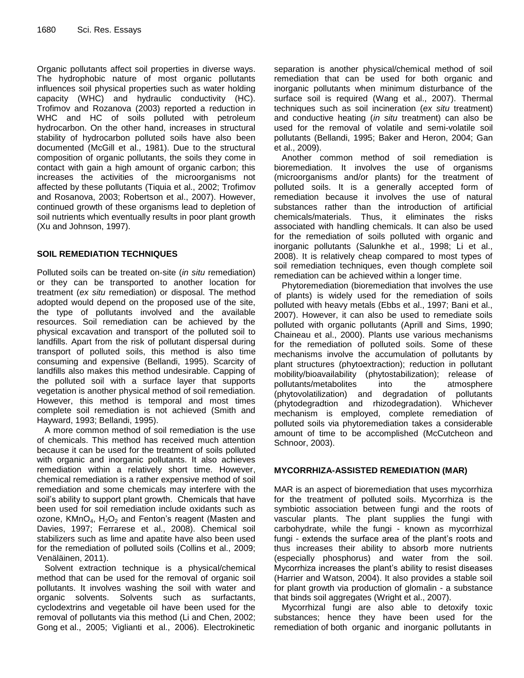Organic pollutants affect soil properties in diverse ways. The hydrophobic nature of most organic pollutants influences soil physical properties such as water holding capacity (WHC) and hydraulic conductivity (HC). Trofimov and Rozanova (2003) reported a reduction in WHC and HC of soils polluted with petroleum hydrocarbon. On the other hand, increases in structural stability of hydrocarbon polluted soils have also been documented (McGill et al., 1981). Due to the structural composition of organic pollutants, the soils they come in contact with gain a high amount of organic carbon; this increases the activities of the microorganisms not affected by these pollutants (Tiquia et al., 2002; Trofimov and Rosanova, 2003; Robertson et al., 2007). However, continued growth of these organisms lead to depletion of soil nutrients which eventually results in poor plant growth (Xu and Johnson, 1997).

# **SOIL REMEDIATION TECHNIQUES**

Polluted soils can be treated on-site (*in situ* remediation) or they can be transported to another location for treatment (*ex situ* remediation) or disposal. The method adopted would depend on the proposed use of the site, the type of pollutants involved and the available resources. Soil remediation can be achieved by the physical excavation and transport of the polluted soil to landfills. Apart from the risk of pollutant dispersal during transport of polluted soils, this method is also time consuming and expensive (Bellandi, 1995). Scarcity of landfills also makes this method undesirable. Capping of the polluted soil with a surface layer that supports vegetation is another physical method of soil remediation. However, this method is temporal and most times complete soil remediation is not achieved (Smith and Hayward, 1993; Bellandi, 1995).

A more common method of soil remediation is the use of chemicals. This method has received much attention because it can be used for the treatment of soils polluted with organic and inorganic pollutants. It also achieves remediation within a relatively short time. However, chemical remediation is a rather expensive method of soil remediation and some chemicals may interfere with the soil's ability to support plant growth. Chemicals that have been used for soil remediation include oxidants such as ozone, KMnO<sub>4</sub>, H<sub>2</sub>O<sub>2</sub> and Fenton's reagent (Masten and Davies, 1997; Ferrarese et al., 2008). Chemical soil stabilizers such as lime and apatite have also been used for the remediation of polluted soils (Collins et al., 2009; Venäläinen, 2011).

Solvent extraction technique is a physical/chemical method that can be used for the removal of organic soil pollutants. It involves washing the soil with water and organic solvents. Solvents such as surfactants, cyclodextrins and vegetable oil have been used for the removal of pollutants via this method (Li and Chen, 2002; Gong et al., 2005; Viglianti et al., 2006). Electrokinetic

separation is another physical/chemical method of soil remediation that can be used for both organic and inorganic pollutants when minimum disturbance of the surface soil is required (Wang et al., 2007). Thermal techniques such as soil incineration (*ex situ* treatment) and conductive heating (*in situ* treatment) can also be used for the removal of volatile and semi-volatile soil pollutants (Bellandi, 1995; Baker and Heron, 2004; Gan et al., 2009).

Another common method of soil remediation is bioremediation. It involves the use of organisms (microorganisms and/or plants) for the treatment of polluted soils. It is a generally accepted form of remediation because it involves the use of natural substances rather than the introduction of artificial chemicals/materials. Thus, it eliminates the risks associated with handling chemicals. It can also be used for the remediation of soils polluted with organic and inorganic pollutants (Salunkhe et al., 1998; Li et al., 2008). It is relatively cheap compared to most types of soil remediation techniques, even though complete soil remediation can be achieved within a longer time.

Phytoremediation (bioremediation that involves the use of plants) is widely used for the remediation of soils polluted with heavy metals (Ebbs et al., 1997; Bani et al., 2007). However, it can also be used to remediate soils polluted with organic pollutants (Aprill and Sims, 1990; Chaineau et al., 2000). Plants use various mechanisms for the remediation of polluted soils. Some of these mechanisms involve the accumulation of pollutants by plant structures (phytoextraction); reduction in pollutant mobility/bioavailability (phytostabilization); release of pollutants/metabolites into the atmosphere (phytovolatilization) and degradation of pollutants (phytodegradtion and rhizodegradation). Whichever mechanism is employed, complete remediation of polluted soils via phytoremediation takes a considerable amount of time to be accomplished (McCutcheon and Schnoor, 2003).

# **MYCORRHIZA-ASSISTED REMEDIATION (MAR)**

MAR is an aspect of bioremediation that uses mycorrhiza for the treatment of polluted soils. Mycorrhiza is the symbiotic association between fungi and the roots of vascular plants. The plant supplies the fungi with carbohydrate, while the fungi - known as mycorrhizal fungi - extends the surface area of the plant's roots and thus increases their ability to absorb more nutrients (especially phosphorus) and water from the soil. Mycorrhiza increases the plant's ability to resist diseases (Harrier and Watson, 2004). It also provides a stable soil for plant growth via production of glomalin - a substance that binds soil aggregates (Wright et al., 2007).

Mycorrhizal fungi are also able to detoxify toxic substances; hence they have been used for the remediation of both organic and inorganic pollutants in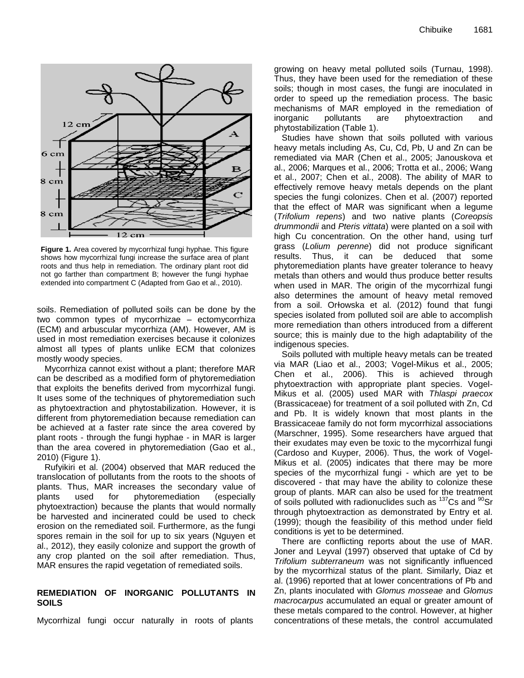

**Figure 1.** Area covered by mycorrhizal fungi hyphae. This figure shows how mycorrhizal fungi increase the surface area of plant roots and thus help in remediation. The ordinary plant root did not go farther than compartment B; however the fungi hyphae extended into compartment C (Adapted from Gao et al., 2010).

soils. Remediation of polluted soils can be done by the two common types of mycorrhizae – ectomycorrhiza (ECM) and arbuscular mycorrhiza (AM). However, AM is used in most remediation exercises because it colonizes almost all types of plants unlike ECM that colonizes mostly woody species.

Mycorrhiza cannot exist without a plant; therefore MAR can be described as a modified form of phytoremediation that exploits the benefits derived from mycorrhizal fungi. It uses some of the techniques of phytoremediation such as phytoextraction and phytostabilization. However, it is different from phytoremediation because remediation can be achieved at a faster rate since the area covered by plant roots - through the fungi hyphae - in MAR is larger than the area covered in phytoremediation (Gao et al., 2010) (Figure 1).

Rufyikiri et al. (2004) observed that MAR reduced the translocation of pollutants from the roots to the shoots of plants. Thus, MAR increases the secondary value of plants used for phytoremediation (especially phytoextraction) because the plants that would normally be harvested and incinerated could be used to check erosion on the remediated soil. Furthermore, as the fungi spores remain in the soil for up to six years (Nguyen et al., 2012), they easily colonize and support the growth of any crop planted on the soil after remediation. Thus, MAR ensures the rapid vegetation of remediated soils.

#### **REMEDIATION OF INORGANIC POLLUTANTS IN SOILS**

Mycorrhizal fungi occur naturally in roots of plants

growing on heavy metal polluted soils (Turnau, 1998). Thus, they have been used for the remediation of these soils; though in most cases, the fungi are inoculated in order to speed up the remediation process. The basic mechanisms of MAR employed in the remediation of inorganic pollutants are phytoextraction and phytostabilization (Table 1).

Studies have shown that soils polluted with various heavy metals including As, Cu, Cd, Pb, U and Zn can be remediated via MAR (Chen et al., 2005; Janouskova et al., 2006; Marques et al., 2006; Trotta et al., 2006; Wang et al., 2007; Chen et al., 2008). The ability of MAR to effectively remove heavy metals depends on the plant species the fungi colonizes. Chen et al. (2007) reported that the effect of MAR was significant when a legume (*Trifolium repens*) and two native plants (*Coreopsis drummondii* and *Pteris vittata*) were planted on a soil with high Cu concentration. On the other hand, using turf grass (*Lolium perenne*) did not produce significant results. Thus, it can be deduced that some phytoremediation plants have greater tolerance to heavy metals than others and would thus produce better results when used in MAR. The origin of the mycorrhizal fungi also determines the amount of heavy metal removed from a soil. Orɫowska et al. (2012) found that fungi species isolated from polluted soil are able to accomplish more remediation than others introduced from a different source; this is mainly due to the high adaptability of the indigenous species.

Soils polluted with multiple heavy metals can be treated via MAR (Liao et al., 2003; Vogel-Mikus et al., 2005; Chen et al., 2006). This is achieved through phytoextraction with appropriate plant species. Vogel-Mikus et al. (2005) used MAR with *Thlaspi praecox* (Brassicaceae) for treatment of a soil polluted with Zn, Cd and Pb. It is widely known that most plants in the Brassicaceae family do not form mycorrhizal associations (Marschner, 1995). Some researchers have argued that their exudates may even be toxic to the mycorrhizal fungi (Cardoso and Kuyper, 2006). Thus, the work of Vogel-Mikus et al. (2005) indicates that there may be more species of the mycorrhizal fungi - which are yet to be discovered - that may have the ability to colonize these group of plants. MAR can also be used for the treatment of soils polluted with radionuclides such as  $137$ Cs and  $90$ Sr through phytoextraction as demonstrated by Entry et al. (1999); though the feasibility of this method under field conditions is yet to be determined.

There are conflicting reports about the use of MAR. Joner and Leyval (1997) observed that uptake of Cd by *Trifolium subterraneum* was not significantly influenced by the mycorrhizal status of the plant. Similarly, Diaz et al. (1996) reported that at lower concentrations of Pb and Zn, plants inoculated with *Glomus mosseae* and *Glomus macrocarpus* accumulated an equal or greater amount of these metals compared to the control. However, at higher concentrations of these metals, the control accumulated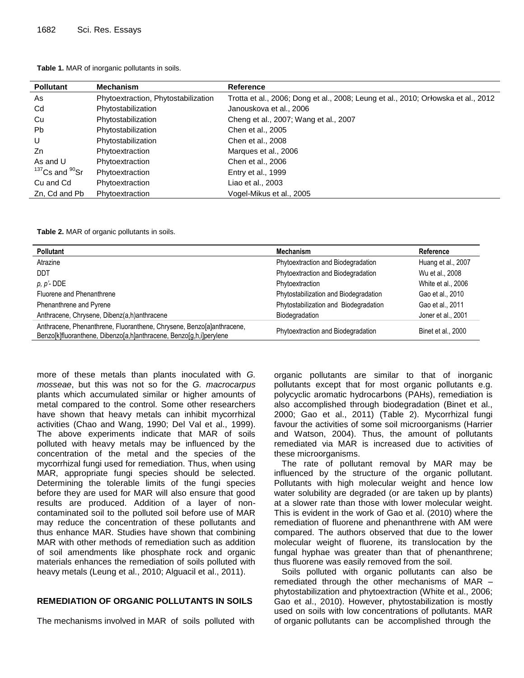| <b>Pollutant</b>     | <b>Mechanism</b>                    | <b>Reference</b>                                                                  |
|----------------------|-------------------------------------|-----------------------------------------------------------------------------------|
| As                   | Phytoextraction, Phytostabilization | Trotta et al., 2006; Dong et al., 2008; Leung et al., 2010; Orłowska et al., 2012 |
| Cd                   | Phytostabilization                  | Janouskova et al., 2006                                                           |
| Cu                   | Phytostabilization                  | Cheng et al., 2007; Wang et al., 2007                                             |
| <b>Pb</b>            | Phytostabilization                  | Chen et al., 2005                                                                 |
| U                    | Phytostabilization                  | Chen et al., 2008                                                                 |
| Zn                   | Phytoextraction                     | Marques et al., 2006                                                              |
| As and U             | Phytoextraction                     | Chen et al., 2006                                                                 |
| $137$ Cs and $90$ Sr | Phytoextraction                     | Entry et al., 1999                                                                |
| Cu and Cd            | Phytoextraction                     | Liao et al., 2003                                                                 |
| Zn, Cd and Pb        | Phytoextraction                     | Vogel-Mikus et al., 2005                                                          |

**Table 1.** MAR of inorganic pollutants in soils.

**Table 2.** MAR of organic pollutants in soils.

| <b>Pollutant</b>                                                                                                                            | <b>Mechanism</b>                      | Reference          |
|---------------------------------------------------------------------------------------------------------------------------------------------|---------------------------------------|--------------------|
| Atrazine                                                                                                                                    | Phytoextraction and Biodegradation    | Huang et al., 2007 |
| DDT                                                                                                                                         | Phytoextraction and Biodegradation    | Wu et al., 2008    |
| $p, p'$ -DDE                                                                                                                                | Phytoextraction                       | White et al., 2006 |
| Fluorene and Phenanthrene                                                                                                                   | Phytostabilization and Biodegradation | Gao et al., 2010   |
| Phenanthrene and Pyrene                                                                                                                     | Phytostabilization and Biodegradation | Gao et al., 2011   |
| Anthracene, Chrysene, Dibenz(a,h)anthracene                                                                                                 | Biodegradation                        | Joner et al., 2001 |
| Anthracene, Phenanthrene, Fluoranthene, Chrysene, Benzo[a]anthracene,<br>Benzo[k]fluoranthene, Dibenzo[a,h]anthracene, Benzo[g,h,i]perylene | Phytoextraction and Biodegradation    | Binet et al., 2000 |

more of these metals than plants inoculated with *G. mosseae*, but this was not so for the *G. macrocarpus* plants which accumulated similar or higher amounts of metal compared to the control. Some other researchers have shown that heavy metals can inhibit mycorrhizal activities (Chao and Wang, 1990; Del Val et al., 1999). The above experiments indicate that MAR of soils polluted with heavy metals may be influenced by the concentration of the metal and the species of the mycorrhizal fungi used for remediation. Thus, when using MAR, appropriate fungi species should be selected. Determining the tolerable limits of the fungi species before they are used for MAR will also ensure that good results are produced. Addition of a layer of noncontaminated soil to the polluted soil before use of MAR may reduce the concentration of these pollutants and thus enhance MAR. Studies have shown that combining MAR with other methods of remediation such as addition of soil amendments like phosphate rock and organic materials enhances the remediation of soils polluted with heavy metals (Leung et al., 2010; Alguacil et al., 2011).

#### **REMEDIATION OF ORGANIC POLLUTANTS IN SOILS**

The mechanisms involved in MAR of soils polluted with

organic pollutants are similar to that of inorganic pollutants except that for most organic pollutants e.g. polycyclic aromatic hydrocarbons (PAHs), remediation is also accomplished through biodegradation (Binet et al., 2000; Gao et al., 2011) (Table 2). Mycorrhizal fungi favour the activities of some soil microorganisms (Harrier and Watson, 2004). Thus, the amount of pollutants remediated via MAR is increased due to activities of these microorganisms.

The rate of pollutant removal by MAR may be influenced by the structure of the organic pollutant. Pollutants with high molecular weight and hence low water solubility are degraded (or are taken up by plants) at a slower rate than those with lower molecular weight. This is evident in the work of Gao et al. (2010) where the remediation of fluorene and phenanthrene with AM were compared. The authors observed that due to the lower molecular weight of fluorene, its translocation by the fungal hyphae was greater than that of phenanthrene; thus fluorene was easily removed from the soil.

Soils polluted with organic pollutants can also be remediated through the other mechanisms of MAR – phytostabilization and phytoextraction (White et al., 2006; Gao et al., 2010). However, phytostabilization is mostly used on soils with low concentrations of pollutants. MAR of organic pollutants can be accomplished through the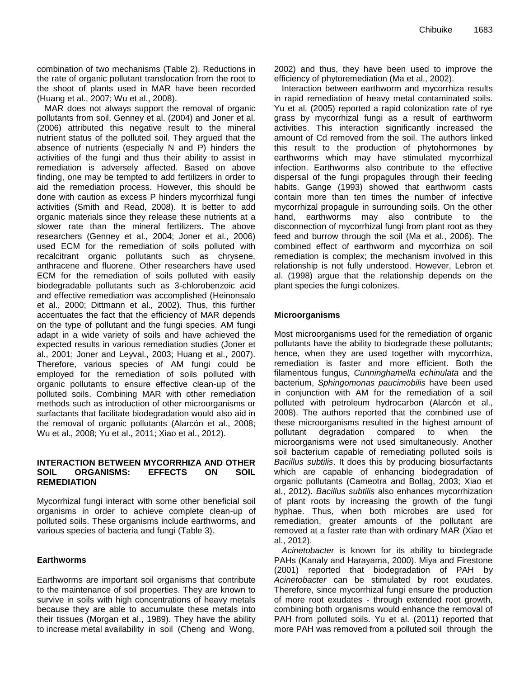combination of two mechanisms (Table 2). Reductions in the rate of organic pollutant translocation from the root to the shoot of plants used in MAR have been recorded (Huang et al., 2007; Wu et al., 2008).

MAR does not always support the removal of organic pollutants from soil. Genney et al. (2004) and Joner et al. (2006) attributed this negative result to the mineral nutrient status of the polluted soil. They argued that the absence of nutrients (especially N and P) hinders the activities of the fungi and thus their ability to assist in remediation is adversely affected. Based on above finding, one may be tempted to add fertilizers in order to aid the remediation process. However, this should be done with caution as excess P hinders mycorrhizal fungi activities (Smith and Read, 2008). It is better to add organic materials since they release these nutrients at a slower rate than the mineral fertilizers. The above researchers (Genney et al., 2004; Joner et al., 2006) used ECM for the remediation of soils polluted with recalcitrant organic pollutants such as chrysene, anthracene and fluorene. Other researchers have used ECM for the remediation of soils polluted with easily biodegradable pollutants such as 3-chlorobenzoic acid and effective remediation was accomplished (Heinonsalo et al., 2000; Dittmann et al., 2002). Thus, this further accentuates the fact that the efficiency of MAR depends on the type of pollutant and the fungi species. AM fungi adapt in a wide variety of soils and have achieved the expected results in various remediation studies (Joner et al., 2001; Joner and Leyval., 2003; Huang et al., 2007). Therefore, various species of AM fungi could be employed for the remediation of soils polluted with organic pollutants to ensure effective clean-up of the polluted soils. Combining MAR with other remediation methods such as introduction of other microorganisms or surfactants that facilitate biodegradation would also aid in the removal of organic pollutants (Alarcόn et al., 2008; Wu et al., 2008; Yu et al., 2011; Xiao et al., 2012).

#### **INTERACTION BETWEEN MYCORRHIZA AND OTHER SOIL ORGANISMS: EFFECTS ON SOIL REMEDIATION**

Mycorrhizal fungi interact with some other beneficial soil organisms in order to achieve complete clean-up of polluted soils. These organisms include earthworms, and various species of bacteria and fungi (Table 3).

#### **Earthworms**

Earthworms are important soil organisms that contribute to the maintenance of soil properties. They are known to survive in soils with high concentrations of heavy metals because they are able to accumulate these metals into their tissues (Morgan et al., 1989). They have the ability to increase metal availability in soil (Cheng and Wong,

2002) and thus, they have been used to improve the efficiency of phytoremediation (Ma et al., 2002).

Interaction between earthworm and mycorrhiza results in rapid remediation of heavy metal contaminated soils. Yu et al. (2005) reported a rapid colonization rate of rye grass by mycorrhizal fungi as a result of earthworm activities. This interaction significantly increased the amount of Cd removed from the soil. The authors linked this result to the production of phytohormones by earthworms which may have stimulated mycorrhizal infection. Earthworms also contribute to the effective dispersal of the fungi propagules through their feeding habits. Gange (1993) showed that earthworm casts contain more than ten times the number of infective mycorrhizal propagule in surrounding soils. On the other hand, earthworms may also contribute to the disconnection of mycorrhizal fungi from plant root as they feed and burrow through the soil (Ma et al., 2006). The combined effect of earthworm and mycorrhiza on soil remediation is complex; the mechanism involved in this relationship is not fully understood. However, Lebron et al. (1998) argue that the relationship depends on the plant species the fungi colonizes.

#### **Microorganisms**

Most microorganisms used for the remediation of organic pollutants have the ability to biodegrade these pollutants; hence, when they are used together with mycorrhiza, remediation is faster and more efficient. Both the filamentous fungus, *Cunninghamella echinulata* and the bacterium, *Sphingomonas paucimobilis* have been used in conjunction with AM for the remediation of a soil polluted with petroleum hydrocarbon (Alarcόn et al., 2008). The authors reported that the combined use of these microorganisms resulted in the highest amount of pollutant degradation compared to when the microorganisms were not used simultaneously. Another soil bacterium capable of remediating polluted soils is *Bacillus subtilis*. It does this by producing biosurfactants which are capable of enhancing biodegradation of organic pollutants (Cameotra and Bollag, 2003; Xiao et al., 2012). *Bacillus subtilis* also enhances mycorrhization of plant roots by increasing the growth of the fungi hyphae. Thus, when both microbes are used for remediation, greater amounts of the pollutant are removed at a faster rate than with ordinary MAR (Xiao et al., 2012).

*Acinetobacter* is known for its ability to biodegrade PAHs (Kanaly and Harayama, 2000). Miya and Firestone (2001) reported that biodegradation of PAH by *Acinetobacter* can be stimulated by root exudates. Therefore, since mycorrhizal fungi ensure the production of more root exudates - through extended root growth, combining both organisms would enhance the removal of PAH from polluted soils. Yu et al. (2011) reported that more PAH was removed from a polluted soil through the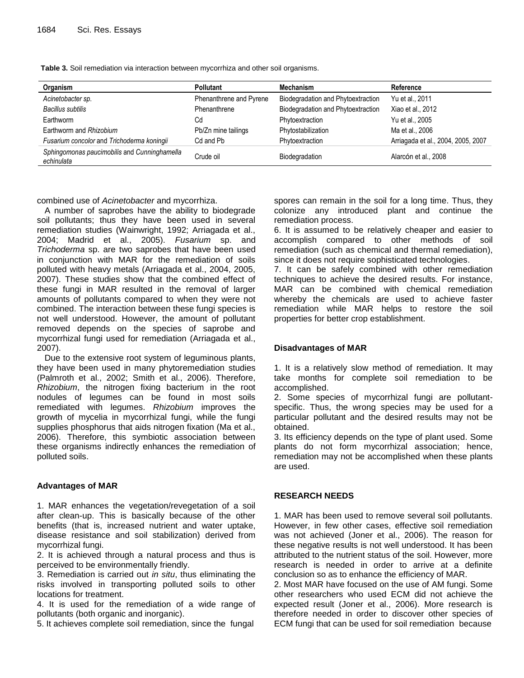| Organism                                                   | <b>Pollutant</b>        | <b>Mechanism</b>                   | Reference                          |
|------------------------------------------------------------|-------------------------|------------------------------------|------------------------------------|
| Acinetobacter sp.                                          | Phenanthrene and Pyrene | Biodegradation and Phytoextraction | Yu et al., 2011                    |
| <b>Bacillus subtilis</b>                                   | Phenanthrene            | Biodegradation and Phytoextraction | Xiao et al., 2012                  |
| Earthworm                                                  | Cd                      | Phytoextraction                    | Yu et al., 2005                    |
| Earthworm and Rhizobium                                    | Pb/Zn mine tailings     | Phytostabilization                 | Ma et al., 2006                    |
| Fusarium concolor and Trichoderma koningii                 | Cd and Pb               | Phytoextraction                    | Arriagada et al., 2004, 2005, 2007 |
| Sphingomonas paucimobilis and Cunninghamella<br>echinulata | Crude oil               | Biodegradation                     | Alarcón et al., 2008               |

**Table 3.** Soil remediation via interaction between mycorrhiza and other soil organisms.

combined use of *Acinetobacter* and mycorrhiza.

A number of saprobes have the ability to biodegrade soil pollutants; thus they have been used in several remediation studies (Wainwright, 1992; Arriagada et al., 2004; Madrid et al., 2005). *Fusarium* sp. and *Trichoderma* sp. are two saprobes that have been used in conjunction with MAR for the remediation of soils polluted with heavy metals (Arriagada et al., 2004, 2005, 2007). These studies show that the combined effect of these fungi in MAR resulted in the removal of larger amounts of pollutants compared to when they were not combined. The interaction between these fungi species is not well understood. However, the amount of pollutant removed depends on the species of saprobe and mycorrhizal fungi used for remediation (Arriagada et al., 2007).

Due to the extensive root system of leguminous plants, they have been used in many phytoremediation studies (Palmroth et al., 2002; Smith et al., 2006). Therefore, *Rhizobium*, the nitrogen fixing bacterium in the root nodules of legumes can be found in most soils remediated with legumes. *Rhizobium* improves the growth of mycelia in mycorrhizal fungi, while the fungi supplies phosphorus that aids nitrogen fixation (Ma et al., 2006). Therefore, this symbiotic association between these organisms indirectly enhances the remediation of polluted soils.

#### **Advantages of MAR**

1. MAR enhances the vegetation/revegetation of a soil after clean-up. This is basically because of the other benefits (that is, increased nutrient and water uptake, disease resistance and soil stabilization) derived from mycorrhizal fungi.

2. It is achieved through a natural process and thus is perceived to be environmentally friendly.

3. Remediation is carried out *in situ*, thus eliminating the risks involved in transporting polluted soils to other locations for treatment.

4. It is used for the remediation of a wide range of pollutants (both organic and inorganic).

5. It achieves complete soil remediation, since the fungal

spores can remain in the soil for a long time. Thus, they colonize any introduced plant and continue the remediation process.

6. It is assumed to be relatively cheaper and easier to accomplish compared to other methods of soil remediation (such as chemical and thermal remediation), since it does not require sophisticated technologies.

7. It can be safely combined with other remediation techniques to achieve the desired results. For instance, MAR can be combined with chemical remediation whereby the chemicals are used to achieve faster remediation while MAR helps to restore the soil properties for better crop establishment.

# **Disadvantages of MAR**

1. It is a relatively slow method of remediation. It may take months for complete soil remediation to be accomplished.

2. Some species of mycorrhizal fungi are pollutantspecific. Thus, the wrong species may be used for a particular pollutant and the desired results may not be obtained.

3. Its efficiency depends on the type of plant used. Some plants do not form mycorrhizal association; hence, remediation may not be accomplished when these plants are used.

# **RESEARCH NEEDS**

1. MAR has been used to remove several soil pollutants. However, in few other cases, effective soil remediation was not achieved (Joner et al., 2006). The reason for these negative results is not well understood. It has been attributed to the nutrient status of the soil. However, more research is needed in order to arrive at a definite conclusion so as to enhance the efficiency of MAR.

2. Most MAR have focused on the use of AM fungi. Some other researchers who used ECM did not achieve the expected result (Joner et al., 2006). More research is therefore needed in order to discover other species of ECM fungi that can be used for soil remediation because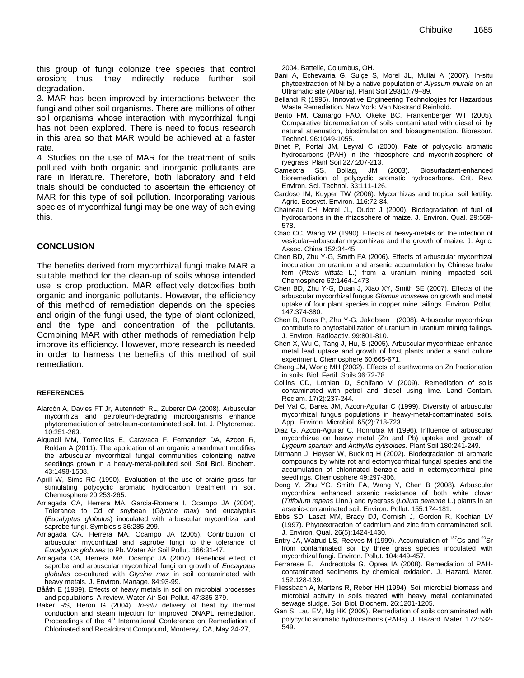this group of fungi colonize tree species that control erosion; thus, they indirectly reduce further soil degradation.

3. MAR has been improved by interactions between the fungi and other soil organisms. There are millions of other soil organisms whose interaction with mycorrhizal fungi has not been explored. There is need to focus research in this area so that MAR would be achieved at a faster rate.

4. Studies on the use of MAR for the treatment of soils polluted with both organic and inorganic pollutants are rare in literature. Therefore, both laboratory and field trials should be conducted to ascertain the efficiency of MAR for this type of soil pollution. Incorporating various species of mycorrhizal fungi may be one way of achieving this.

#### **CONCLUSION**

The benefits derived from mycorrhizal fungi make MAR a suitable method for the clean-up of soils whose intended use is crop production. MAR effectively detoxifies both organic and inorganic pollutants. However, the efficiency of this method of remediation depends on the species and origin of the fungi used, the type of plant colonized, and the type and concentration of the pollutants. Combining MAR with other methods of remediation help improve its efficiency. However, more research is needed in order to harness the benefits of this method of soil remediation.

#### **REFERENCES**

- Alarcόn A, Davies FT Jr, Autenrieth RL, Zuberer DA (2008). Arbuscular mycorrhiza and petroleum-degrading microorganisms enhance phytoremediation of petroleum-contaminated soil. Int. J. Phytoremed. 10:251-263.
- Alguacil MM, Torrecillas E, Caravaca F, Fernandez DA, Azcon R, Roldan A (2011). The application of an organic amendment modifies the arbuscular mycorrhizal fungal communities colonizing native seedlings grown in a heavy-metal-polluted soil. Soil Biol. Biochem. 43:1498-1508.
- Aprill W, Sims RC (1990). Evaluation of the use of prairie grass for stimulating polycyclic aromatic hydrocarbon treatment in soil. Chemosphere 20:253-265.
- Arriagada CA, Herrera MA, Garcia-Romera I, Ocampo JA (2004). Tolerance to Cd of soybean (*Glycine max*) and eucalyptus (*Eucalyptus globulus*) inoculated with arbuscular mycorrhizal and saprobe fungi. Symbiosis 36:285-299.
- Arriagada CA, Herrera MA, Ocampo JA (2005). Contribution of arbuscular mycorrhizal and saprobe fungi to the tolerance of *Eucalyptus globules* to Pb. Water Air Soil Pollut. 166:31-47.
- Arriagada CA, Herrera MA, Ocampo JA (2007). Beneficial effect of saprobe and arbuscular mycorrhizal fungi on growth of *Eucalyptus globules* co-cultured with *Glycine max* in soil contaminated with heavy metals. J. Environ. Manage. 84:93-99.
- Bååth E (1989). Effects of heavy metals in soil on microbial processes and populations: A review. Water Air Soil Pollut. 47:335-379.
- Baker RS, Heron G (2004). *In-situ* delivery of heat by thermal conduction and steam injection for improved DNAPL remediation. Proceedings of the 4<sup>th</sup> International Conference on Remediation of Chlorinated and Recalcitrant Compound, Monterey, CA, May 24-27,

2004. Battelle, Columbus, OH.

- Bani A, Echevarria G, Sulçe S, Morel JL, Mullai A (2007). In-situ phytoextraction of Ni by a native population of *Alyssum murale* on an Ultramafic site (Albania). Plant Soil 293(1):79–89.
- Bellandi R (1995). Innovative Engineering Technologies for Hazardous Waste Remediation. New York: Van Nostrand Reinhold.
- Bento FM, Camargo FAO, Okeke BC, Frankenberger WT (2005). Comparative bioremediation of soils contaminated with diesel oil by natural attenuation, biostimulation and bioaugmentation. Bioresour. Technol. 96:1049-1055.
- Binet P, Portal JM, Leyval C (2000). Fate of polycyclic aromatic hydrocarbons (PAH) in the rhizosphere and mycorrhizosphere of ryegrass. Plant Soil 227:207-213.
- Cameotra SS, Bollag, JM (2003). Biosurfactant-enhanced bioremediation of polycyclic aromatic hydrocarbons. Crit. Rev. Environ. Sci. Technol. 33:111-126.
- Cardoso IM, Kuyper TW (2006). Mycorrhizas and tropical soil fertility. Agric. Ecosyst. Environ. 116:72-84.
- Chaineau CH, Morel JL, Oudot J (2000). Biodegradation of fuel oil hydrocarbons in the rhizosphere of maize. J. Environ. Qual. 29:569- 578.
- Chao CC, Wang YP (1990). Effects of heavy-metals on the infection of vesicular–arbuscular mycorrhizae and the growth of maize. J. Agric. Assoc. China 152:34-45.
- Chen BD, Zhu Y-G, Smith FA (2006). Effects of arbuscular mycorrhizal inoculation on uranium and arsenic accumulation by Chinese brake fern (*Pteris vittata* L.) from a uranium mining impacted soil. Chemosphere 62:1464-1473.
- Chen BD, Zhu Y-G, Duan J, Xiao XY, Smith SE (2007). Effects of the arbuscular mycorrhizal fungus *Glomus mosseae* on growth and metal uptake of four plant species in copper mine tailings. Environ. Pollut. 147:374-380.
- Chen B, Roos P, Zhu Y-G, Jakobsen I (2008). Arbuscular mycorrhizas contribute to phytostabilization of uranium in uranium mining tailings. J. Environ. Radioactiv. 99:801-810.
- Chen X, Wu C, Tang J, Hu, S (2005). Arbuscular mycorrhizae enhance metal lead uptake and growth of host plants under a sand culture experiment. Chemosphere 60:665-671.
- Cheng JM, Wong MH (2002). Effects of earthworms on Zn fractionation in soils. Biol. Fertil. Soils 36:72-78.
- Collins CD, Lothian D, Schifano V (2009). Remediation of soils contaminated with petrol and diesel using lime. Land Contam. Reclam. 17(2):237-244.
- Del Val C, Barea JM, Azcon-Aguilar C (1999). Diversity of arbuscular mycorrhizal fungus populations in heavy-metal-contaminated soils. Appl. Environ. Microbiol. 65(2):718-723.
- Diaz G, Azcon-Aguilar C, Honrubia M (1996). Influence of arbuscular mycorrhizae on heavy metal (Zn and Pb) uptake and growth of *Lygeum spartum* and *Anthyllis cytisoides*. Plant Soil 180:241-249.
- Dittmann J, Heyser W, Bucking H (2002). Biodegradation of aromatic compounds by white rot and ectomycorrhizal fungal species and the accumulation of chlorinated benzoic acid in ectomycorrhizal pine seedlings. Chemosphere 49:297-306.
- Dong Y, Zhu YG, Smith FA, Wang Y, Chen B (2008). Arbuscular mycorrhiza enhanced arsenic resistance of both white clover (*Trifolium repens* Linn.) and ryegrass (*Lolium perenne* L.) plants in an arsenic-contaminated soil. Environ. Pollut. 155:174-181.
- Ebbs SD, Lasat MM, Brady DJ, Cornish J, Gordon R, Kochian LV (1997). Phytoextraction of cadmium and zinc from contaminated soil. J. Environ. Qual. 26(5):1424-1430.
- Entry JA, Watrud LS, Reeves M (1999). Accumulation of <sup>137</sup>Cs and <sup>90</sup>Sr from contaminated soil by three grass species inoculated with mycorrhizal fungi. Environ. Pollut. 104:449-457.
- Ferrarese E, Andreottola G, Oprea IA (2008). Remediation of PAHcontaminated sediments by chemical oxidation. J. Hazard. Mater. 152:128-139.
- Fliessbach A, Martens R, Reber HH (1994). Soil microbial biomass and microbial activity in soils treated with heavy metal contaminated sewage sludge. Soil Biol. Biochem. 26:1201-1205.
- Gan S, Lau EV, Ng HK (2009). Remediation of soils contaminated with polycyclic aromatic hydrocarbons (PAHs). J. Hazard. Mater. 172:532- 549.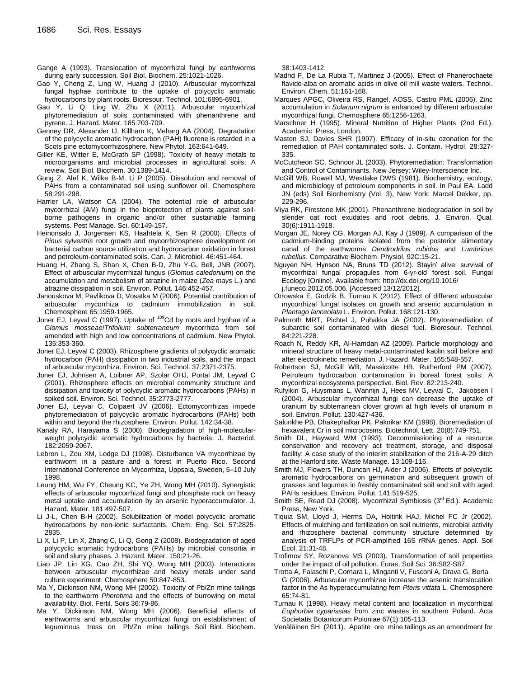- Gange A (1993). Translocation of mycorrhizal fungi by earthworms during early succession. Soil Biol. Biochem. 25:1021-1026.
- Gao Y, Cheng Z, Ling W, Huang J (2010). Arbuscular mycorrhizal fungal hyphae contribute to the uptake of polycyclic aromatic hydrocarbons by plant roots. Bioresour. Technol. 101:6895-6901.
- Gao Y, Li Q, Ling W, Zhu X (2011). Arbuscular mycorrhizal phytoremediation of soils contaminated with phenanthrene and pyrene. J. Hazard. Mater. 185:703-709.
- Genney DR, Alexander IJ, Killham K, Meharg AA (2004). Degradation of the polycyclic aromatic hydrocarbon (PAH) fluorene is retarded in a Scots pine ectomycorrhizosphere. New Phytol. 163:641-649.
- Giller KE, Witter E, McGrath SP (1998). Toxicity of heavy metals to microorganisms and microbial processes in agricultural soils: A review. Soil Biol. Biochem. 30:1389-1414.
- Gong Z, Alef K, Wilke B-M, Li P (2005). Dissolution and removal of PAHs from a contaminated soil using sunflower oil. Chemosphere 58:291-298.
- Harrier LA, Watson CA (2004). The potential role of arbuscular mycorrhizal (AM) fungi in the bioprotection of plants against soilborne pathogens in organic and/or other sustainable farming systems. Pest Manage. Sci. 60:149-157.
- Heinonsalo J, Jorgensen KS, Haahtela K, Sen R (2000). Effects of *Pinus sylvestris* root growth and mycorrhizosphere development on bacterial carbon source utilization and hydrocarbon oxidation in forest and petroleum-contaminated soils. Can. J. Microbiol. 46:451-464.
- Huang H, Zhang S, Shan X, Chen B-D, Zhu Y-G, Bell, JNB (2007). Effect of arbuscular mycorrhizal fungus (*Glomus caledonium*) on the accumulation and metabolism of atrazine in maize (*Zea mays* L.) and atrazine dissipation in soil. Environ. Pollut. 146:452-457.
- Janouskova M, Pavlikova D, Vosatka M (2006). Potential contribution of arbuscular mycorrhiza to cadmium immobilization in soil. Chemosphere 65:1959-1965.
- Joner EJ, Leyval C (1997). Uptake of <sup>109</sup>Cd by roots and hyphae of a *Glomus mosseae*/*Trifolium subterraneum* mycorrhiza from soil amended with high and low concentrations of cadmium. New Phytol. 135:353-360.
- Joner EJ, Leyval C (2003). Rhizosphere gradients of polycyclic aromatic hydrocarbon (PAH) dissipation in two industrial soils, and the impact of arbuscular mycorrhiza. Environ. Sci. Technol. 37:2371-2375.
- Joner EJ, Johnsen A, Loibner AP, Szolar OHJ, Portal JM, Leyval C (2001). Rhizosphere effects on microbial community structure and dissipation and toxicity of polycyclic aromatic hydrocarbons (PAHs) in spiked soil. Environ. Sci. Technol. 35:2773-2777.
- Joner EJ, Leyval C, Colpaert JV (2006). Ectomycorrhizas impede phytoremediation of polycyclic aromatic hydrocarbons (PAHs) both within and beyond the rhizosphere. Environ. Pollut. 142:34-38.
- Kanaly RA, Harayama S (2000). Biodegradation of high-molecularweight polycyclic aromatic hydrocarbons by bacteria. J. Bacteriol. 182:2059-2067.
- Lebron L, Zou XM, Lodge DJ (1998). Disturbance VA mycorrhizae by earthworm in a pasture and a forest in Puerto Rico. Second International Conference on Mycorrhiza, Uppsala, Sweden, 5–10 July 1998.
- Leung HM, Wu FY, Cheung KC, Ye ZH, Wong MH (2010). Synergistic effects of arbuscular mycorrhizal fungi and phosphate rock on heavy metal uptake and accumulation by an arsenic hyperaccumulator. J. Hazard. Mater. 181:497-507.
- Li J-L, Chen B-H (2002). Solubilization of model polycyclic aromatic hydrocarbons by non-ionic surfactants. Chem. Eng. Sci. 57:2825- 2835.
- Li X, Li P, Lin X, Zhang C, Li Q, Gong Z (2008). Biodegradation of aged polycyclic aromatic hydrocarbons (PAHs) by microbial consortia in soil and slurry phases. J. Hazard. Mater. 150:21-26.
- Liao JP, Lin XG, Cao ZH, Shi YQ, Wong MH (2003). Interactions between arbuscular mycorrhizae and heavy metals under sand culture experiment. Chemosphere 50:847-853.
- Ma Y, Dickinson NM, Wong MH (2002). Toxicity of Pb/Zn mine tailings to the earthworm *Pheretima* and the effects of burrowing on metal availability. Biol. Fertil. Soils 36:79-86.
- Ma Y, Dickinson NM, Wong MH (2006). Beneficial effects of earthworms and arbuscular mycorrhizal fungi on establishment of leguminous tress on Pb/Zn mine tailings. Soil Biol. Biochem.

38:1403-1412.

- Madrid F, De La Rubia T, Martinez J (2005). Effect of Phanerochaete flavido-alba on aromatic acids in olive oil mill waste waters. Technol. Environ. Chem. 51:161-168.
- Marques APGC, Oliveira RS, Rangel, AOSS, Castro PML (2006). Zinc accumulation in *Solanum nigrum* is enhanced by different arbuscular mycorrhizal fungi. Chemosphere 65:1256-1263.
- Marschner H (1995). Mineral Nutrition of Higher Plants (2nd Ed.). Academic Press, London.
- Masten SJ, Davies SHR (1997). Efficacy of in-situ ozonation for the remediation of PAH contaminated soils. J. Contam. Hydrol. 28:327- 335.
- McCutcheon SC, Schnoor JL (2003). Phytoremediation: Transformation and Control of Contaminants. New Jersey: Wiley-Interscience Inc.
- McGill WB, Rowell MJ, Westlake DWS (1981). Biochemistry, ecology, and microbiology of petroleum components in soil. In Paul EA, Ladd JN (eds) Soil Biochemistry (Vol. 3), New York: Marcel Dekker, pp. 229-296.
- Miya RK, Firestone MK (2001). Phenanthrene biodegradation in soil by slender oat root exudates and root debris. J. Environ. Qual. 30(6):1911-1918.
- Morgan JE, Norey CG, Morgan AJ, Kay J (1989). A comparison of the cadmium-binding proteins isolated from the posterior alimentary canal of the earthworms *Dendrodrilus rubidus* and *Lumbricus rubellus*. Comparative Biochem. Physiol. 92C:15-21.
- Nguyen NH, Hynson NA, Bruns TD (2012). Stayin' alive: survival of mycorrhizal fungal propagules from 6-yr-old forest soil. Fungal Ecology [Online]. Available from: http://dx.doi.org/10.1016/ j.funeco.2012.05.006. [Accessed 13/12/2012].
- Orɫowska E, Godzik B, Turnau K (2012). Effect of different arbuscular mycorrhizal fungal isolates on growth and arsenic accumulation in *Plantago lanceolata* L. Environ. Pollut. 168:121-130.
- Palmroth MRT, Pichtel J, Puhakka JA (2002). Phytoremediation of subarctic soil contaminated with diesel fuel. Bioresour. Technol. 84:221-228.
- Roach N, Reddy KR, Al-Hamdan AZ (2009). Particle morphology and mineral structure of heavy metal-contaminated kaolin soil before and after electrokinetic remediation. J. Hazard. Mater. 165:548-557.
- Robertson SJ, McGill WB, Massicotte HB, Rutherford PM (2007). Petroleum hydrocarbon contamination in boreal forest soils: A mycorrhizal ecosystems perspective. Biol. Rev. 82:213-240.
- Rufyikiri G, Huysmans L, Wannijn J, Hees MV, Leyval C, Jakobsen I (2004). Arbuscular mycorrhizal fungi can decrease the uptake of uranium by subterranean clover grown at high levels of uranium in soil. Environ. Pollut. 130:427-436.
- Salunkhe PB, Dhakephalkar PK, Paknikar KM (1998). Bioremediation of hexavalent Cr in soil microcosms. Biotechnol. Lett. 20(8):749-751.
- Smith DL, Hayward WM (1993). Decommissioning of a resource conservation and recovery act treatment, storage, and disposal facility: A case study of the interim stabilization of the 216-A-29 ditch at the Hanford site. Waste Manage. 13:109-116.
- Smith MJ, Flowers TH, Duncan HJ, Alder J (2006). Effects of polycyclic aromatic hydrocarbons on germination and subsequent growth of grasses and legumes in freshly contaminated soil and soil with aged PAHs residues. Environ. Pollut. 141:519-525.
- Smith SE, Read DJ (2008). Mycorrhizal Symbiosis (3rd Ed.). Academic Press, New York.
- Tiquia SM, Lloyd J, Herms DA, Hoitink HAJ, Michel FC Jr (2002). Effects of mulching and fertilization on soil nutrients, microbial activity and rhizosphere bacterial community structure determined by analysis of TRFLPs of PCR-amplified 16S rRNA genes. Appl. Soil Ecol. 21:31-48.
- Trofimov SY, Rozanova MS (2003). Transformation of soil properties under the impact of oil pollution. Euras. Soil Sci. 36:S82-S87.
- Trotta A, Falaschi P, Cornara L, Minganti V, Fusconi A, Drava G, Berta G (2006). Arbuscular mycorrhizae increase the arsenic translocation factor in the As hyperaccumulating fern *Pteris vittata* L. Chemosphere 65:74-81.
- Turnau K (1998). Heavy metal content and localization in mycorrhizal *Euphorbia cyparissias* from zinc wastes in southern Poland. Acta Societatis Botanicorum Poloniae 67(1):105-113.

Venäläinen SH (2011). Apatite ore mine tailings as an amendment for